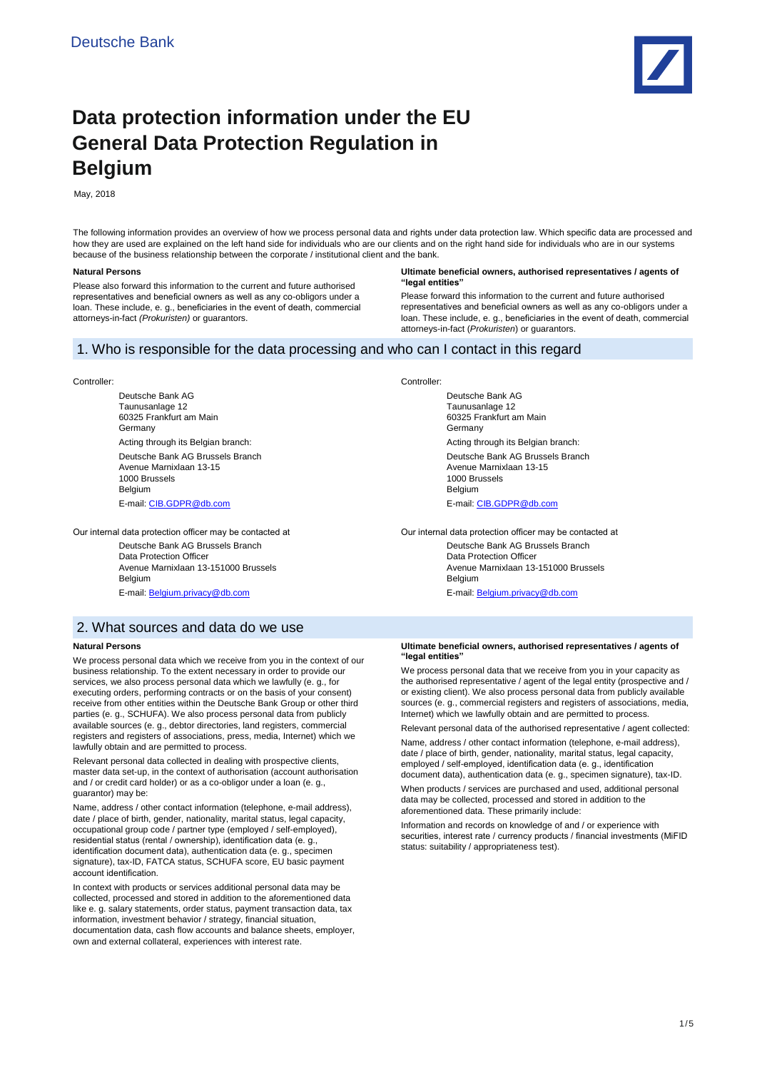

# **Data protection information under the EU General Data Protection Regulation in Belgium**

May, 2018

The following information provides an overview of how we process personal data and rights under data protection law. Which specific data are processed and how they are used are explained on the left hand side for individuals who are our clients and on the right hand side for individuals who are in our systems because of the business relationship between the corporate / institutional client and the bank.

### **Natural Persons**

Please also forward this information to the current and future authorised representatives and beneficial owners as well as any co-obligors under a loan. These include, e. g., beneficiaries in the event of death, commercial attorneys-in-fact *(Prokuristen)* or guarantors.

#### **Ultimate beneficial owners, authorised representatives / agents of "legal entities"**

Please forward this information to the current and future authorised representatives and beneficial owners as well as any co-obligors under a loan. These include, e. g., beneficiaries in the event of death, commercial attorneys-in-fact (*Prokuristen*) or guarantors.

## 1. Who is responsible for the data processing and who can I contact in this regard

#### Controller:

Deutsche Bank AG Taunusanlage 12 60325 Frankfurt am Main Germany Acting through its Belgian branch: Deutsche Bank AG Brussels Branch Avenue Marnixlaan 13-15 1000 Brussels Belgium E-mail[: CIB.GDPR@db.com](mailto:CIB.GDPR@db.com)

Our internal data protection officer may be contacted at

Deutsche Bank AG Brussels Branch Data Protection Officer Avenue Marnixlaan 13-151000 Brussels Belgium E-mail[: Belgium.privacy@db.com](mailto:Belgium.privacy@db.com)

#### Controller:

Deutsche Bank AG Taunusanlage 12 60325 Frankfurt am Main Germany Acting through its Belgian branch: Deutsche Bank AG Brussels Branch Avenue Marnixlaan 13-15 1000 Brussels **Belgium** E-mail[: CIB.GDPR@db.com](mailto:CIB.GDPR@db.com)

Our internal data protection officer may be contacted at Deutsche Bank AG Brussels Branch Data Protection Officer Avenue Marnixlaan 13-151000 Brussels Belgium E-mail[: Belgium.privacy@db.com](mailto:Belgium.privacy@db.com)

2. What sources and data do we use

### **Natural Persons**

We process personal data which we receive from you in the context of our business relationship. To the extent necessary in order to provide our services, we also process personal data which we lawfully (e. g., for executing orders, performing contracts or on the basis of your consent) receive from other entities within the Deutsche Bank Group or other third parties (e. g., SCHUFA). We also process personal data from publicly available sources (e. g., debtor directories, land registers, commercial registers and registers of associations, press, media, Internet) which we lawfully obtain and are permitted to process.

Relevant personal data collected in dealing with prospective clients, master data set-up, in the context of authorisation (account authorisation and / or credit card holder) or as a co-obligor under a loan (e. g., guarantor) may be:

Name, address / other contact information (telephone, e-mail address), date / place of birth, gender, nationality, marital status, legal capacity, occupational group code / partner type (employed / self-employed), residential status (rental / ownership), identification data (e. g., identification document data), authentication data (e. g., specimen signature), tax-ID, FATCA status, SCHUFA score, EU basic payment account identification.

In context with products or services additional personal data may be collected, processed and stored in addition to the aforementioned data like e. g. salary statements, order status, payment transaction data, tax information, investment behavior / strategy, financial situation, documentation data, cash flow accounts and balance sheets, employer, own and external collateral, experiences with interest rate.

**Ultimate beneficial owners, authorised representatives / agents of "legal entities"** 

We process personal data that we receive from you in your capacity as the authorised representative / agent of the legal entity (prospective and / or existing client). We also process personal data from publicly available sources (e. g., commercial registers and registers of associations, media, Internet) which we lawfully obtain and are permitted to process.

Relevant personal data of the authorised representative / agent collected: Name, address / other contact information (telephone, e-mail address),

date / place of birth, gender, nationality, marital status, legal capacity, employed / self-employed, identification data (e. g., identification document data), authentication data (e. g., specimen signature), tax-ID.

When products / services are purchased and used, additional personal data may be collected, processed and stored in addition to the aforementioned data. These primarily include:

Information and records on knowledge of and / or experience with securities, interest rate / currency products / financial investments (MiFID status: suitability / appropriateness test).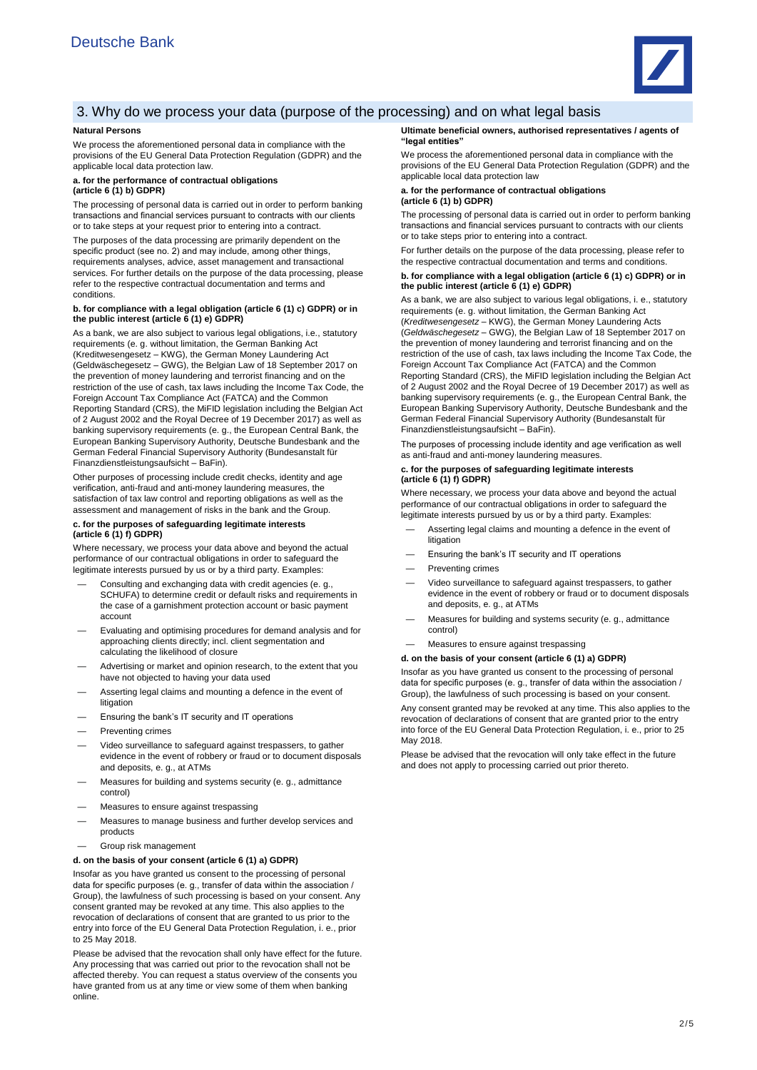

# 3. Why do we process your data (purpose of the processing) and on what legal basis

### **Natural Persons**

We process the aforementioned personal data in compliance with the provisions of the EU General Data Protection Regulation (GDPR) and the applicable local data protection law.

# **a. for the performance of contractual obligations (article 6 (1) b) GDPR)**

The processing of personal data is carried out in order to perform banking transactions and financial services pursuant to contracts with our clients or to take steps at your request prior to entering into a contract.

The purposes of the data processing are primarily dependent on the specific product (see no. 2) and may include, among other things, requirements analyses, advice, asset management and transactional services. For further details on the purpose of the data processing, please refer to the respective contractual documentation and terms and conditions.

# **b. for compliance with a legal obligation (article 6 (1) c) GDPR) or in the public interest (article 6 (1) e) GDPR)**

As a bank, we are also subject to various legal obligations, i.e., statutory requirements (e. g. without limitation, the German Banking Act (Kreditwesengesetz – KWG), the German Money Laundering Act (Geldwäschegesetz – GWG), the Belgian Law of 18 September 2017 on the prevention of money laundering and terrorist financing and on the restriction of the use of cash, tax laws including the Income Tax Code, the Foreign Account Tax Compliance Act (FATCA) and the Common Reporting Standard (CRS), the MiFID legislation including the Belgian Act of 2 August 2002 and the Royal Decree of 19 December 2017) as well as banking supervisory requirements (e. g., the European Central Bank, the European Banking Supervisory Authority, Deutsche Bundesbank and the German Federal Financial Supervisory Authority (Bundesanstalt für Finanzdienstleistungsaufsicht – BaFin).

Other purposes of processing include credit checks, identity and age verification, anti-fraud and anti-money laundering measures, the satisfaction of tax law control and reporting obligations as well as the assessment and management of risks in the bank and the Group.

### **c. for the purposes of safeguarding legitimate interests (article 6 (1) f) GDPR)**

Where necessary, we process your data above and beyond the actual performance of our contractual obligations in order to safeguard the legitimate interests pursued by us or by a third party. Examples:

- Consulting and exchanging data with credit agencies (e. g., SCHUFA) to determine credit or default risks and requirements in the case of a garnishment protection account or basic payment account
- Evaluating and optimising procedures for demand analysis and for approaching clients directly; incl. client segmentation and calculating the likelihood of closure
- Advertising or market and opinion research, to the extent that you have not objected to having your data used
- Asserting legal claims and mounting a defence in the event of litigation
- Ensuring the bank's IT security and IT operations
- Preventing crimes
- Video surveillance to safeguard against trespassers, to gather evidence in the event of robbery or fraud or to document disposals and deposits, e. g., at ATMs
- Measures for building and systems security (e. g., admittance control)
- Measures to ensure against trespassing
- Measures to manage business and further develop services and products
- Group risk management

### **d. on the basis of your consent (article 6 (1) a) GDPR)**

Insofar as you have granted us consent to the processing of personal data for specific purposes (e. g., transfer of data within the association / Group), the lawfulness of such processing is based on your consent. Any consent granted may be revoked at any time. This also applies to the revocation of declarations of consent that are granted to us prior to the entry into force of the EU General Data Protection Regulation, i. e., prior to 25 May 2018.

Please be advised that the revocation shall only have effect for the future. Any processing that was carried out prior to the revocation shall not be affected thereby. You can request a status overview of the consents you have granted from us at any time or view some of them when banking online.

### **Ultimate beneficial owners, authorised representatives / agents of "legal entities"**

We process the aforementioned personal data in compliance with the provisions of the EU General Data Protection Regulation (GDPR) and the applicable local data protection law

### **a. for the performance of contractual obligations (article 6 (1) b) GDPR)**

The processing of personal data is carried out in order to perform banking transactions and financial services pursuant to contracts with our clients or to take steps prior to entering into a contract.

For further details on the purpose of the data processing, please refer to the respective contractual documentation and terms and conditions.

# **b. for compliance with a legal obligation (article 6 (1) c) GDPR) or in the public interest (article 6 (1) e) GDPR)**

As a bank, we are also subject to various legal obligations, i. e., statutory requirements (e. g. without limitation, the German Banking Act (*Kreditwesengesetz* – KWG), the German Money Laundering Acts (*Geldwäschegesetz* – GWG), the Belgian Law of 18 September 2017 on the prevention of money laundering and terrorist financing and on the restriction of the use of cash, tax laws including the Income Tax Code, the Foreign Account Tax Compliance Act (FATCA) and the Common Reporting Standard (CRS), the MiFID legislation including the Belgian Act of 2 August 2002 and the Royal Decree of 19 December 2017) as well as banking supervisory requirements (e. g., the European Central Bank, the European Banking Supervisory Authority, Deutsche Bundesbank and the German Federal Financial Supervisory Authority (Bundesanstalt für Finanzdienstleistungsaufsicht – BaFin).

The purposes of processing include identity and age verification as well as anti-fraud and anti-money laundering measures

### **c. for the purposes of safeguarding legitimate interests (article 6 (1) f) GDPR)**

Where necessary, we process your data above and beyond the actual performance of our contractual obligations in order to safeguard the legitimate interests pursued by us or by a third party. Examples:

- Asserting legal claims and mounting a defence in the event of litigation
- Ensuring the bank's IT security and IT operations
- Preventing crimes
- Video surveillance to safeguard against trespassers, to gather evidence in the event of robbery or fraud or to document disposals and deposits, e. g., at ATMs
- Measures for building and systems security (e. g., admittance control)
- Measures to ensure against trespassing

### **d. on the basis of your consent (article 6 (1) a) GDPR)**

Insofar as you have granted us consent to the processing of personal data for specific purposes (e. g., transfer of data within the association / Group), the lawfulness of such processing is based on your consent.

Any consent granted may be revoked at any time. This also applies to the revocation of declarations of consent that are granted prior to the entry into force of the EU General Data Protection Regulation, i. e., prior to 25 May 2018.

Please be advised that the revocation will only take effect in the future and does not apply to processing carried out prior thereto.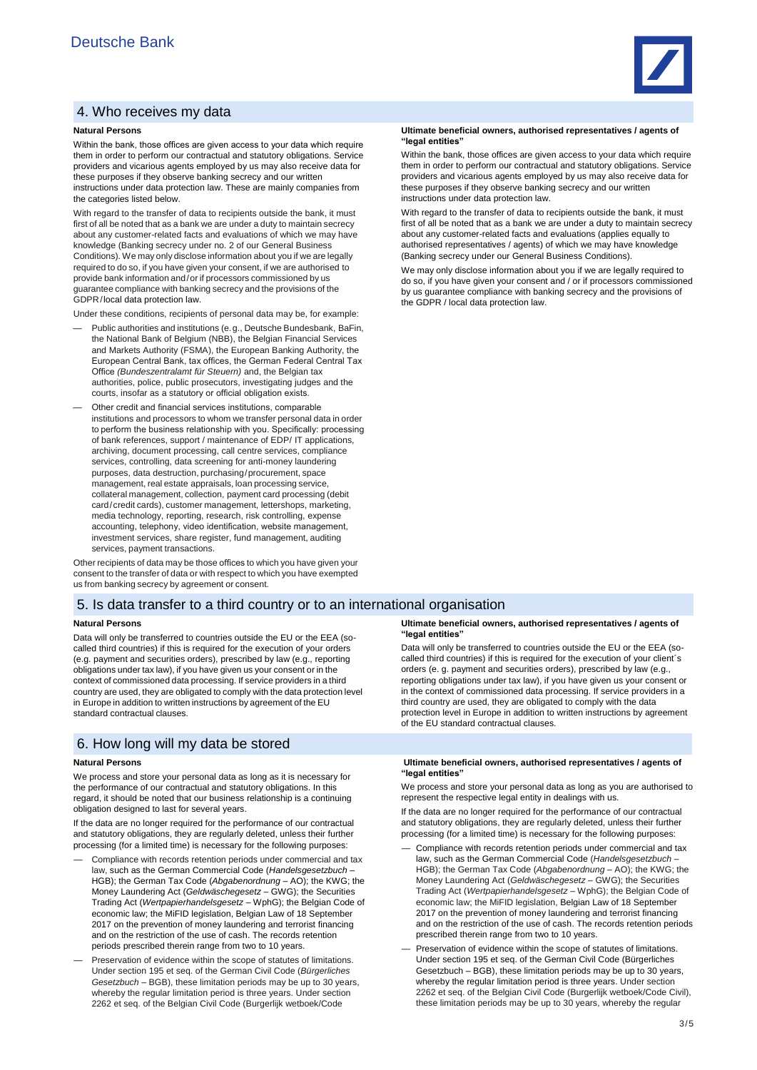# 4. Who receives my data

### **Natural Persons**

Within the bank, those offices are given access to your data which require them in order to perform our contractual and statutory obligations. Service providers and vicarious agents employed by us may also receive data for these purposes if they observe banking secrecy and our written instructions under data protection law. These are mainly companies from the categories listed below.

With regard to the transfer of data to recipients outside the bank, it must first of all be noted that as a bank we are under a duty to maintain secrecy about any customer-related facts and evaluations of which we may have knowledge (Banking secrecy under no. 2 of our General Business Conditions). We may only disclose information about you if we are legally required to do so, if you have given your consent, if we are authorised to provide bank information and/or if processors commissioned by us guarantee compliance with banking secrecy and the provisions of the GDPR/local data protection law.

Under these conditions, recipients of personal data may be, for example:

- Public authorities and institutions (e.g., Deutsche Bundesbank, BaFin, the National Bank of Belgium (NBB), the Belgian Financial Services and Markets Authority (FSMA), the European Banking Authority, the European Central Bank, tax offices, the German Federal Central Tax Office *(Bundeszentralamt für Steuern)* and, the Belgian tax authorities, police, public prosecutors, investigating judges and the courts, insofar as a statutory or official obligation exists.
- Other credit and financial services institutions, comparable institutions and processors to whom we transfer personal data in order to perform the business relationship with you. Specifically: processing of bank references, support / maintenance of EDP/ IT applications, archiving, document processing, call centre services, compliance services, controlling, data screening for anti-money laundering purposes, data destruction, purchasing/procurement, space management, real estate appraisals, loan processing service, collateral management, collection, payment card processing (debit card/credit cards), customer management, lettershops, marketing, media technology, reporting, research, risk controlling, expense accounting, telephony, video identification, website management, investment services, share register, fund management, auditing services, payment transactions.

Other recipients of data may be those offices to which you have given your consent to the transfer of data or with respect to which you have exempted us from banking secrecy by agreement or consent.

### 5. Is data transfer to a third country or to an international organisation

#### **Natural Persons**

Data will only be transferred to countries outside the EU or the EEA (socalled third countries) if this is required for the execution of your orders (e.g. payment and securities orders), prescribed by law (e.g., reporting obligations under tax law), if you have given us your consent or in the context of commissioned data processing. If service providers in a third country are used, they are obligated to comply with the data protection level in Europe in addition to written instructions by agreement of the EU standard contractual clauses.

## 6. How long will my data be stored

#### **Natural Persons**

We process and store your personal data as long as it is necessary for the performance of our contractual and statutory obligations. In this regard, it should be noted that our business relationship is a continuing obligation designed to last for several years.

If the data are no longer required for the performance of our contractual and statutory obligations, they are regularly deleted, unless their further processing (for a limited time) is necessary for the following purposes:

- Compliance with records retention periods under commercial and tax law, such as the German Commercial Code (*Handelsgesetzbuch* – HGB); the German Tax Code (*Abgabenordnung* – AO); the KWG; the Money Laundering Act (*Geldwäschegesetz* – GWG); the Securities Trading Act (*Wertpapierhandelsgesetz* – WphG); the Belgian Code of economic law; the MiFID legislation, Belgian Law of 18 September 2017 on the prevention of money laundering and terrorist financing and on the restriction of the use of cash. The records retention periods prescribed therein range from two to 10 years.
- Preservation of evidence within the scope of statutes of limitations. Under section 195 et seq. of the German Civil Code (*Bürgerliches Gesetzbuch* – BGB), these limitation periods may be up to 30 years, whereby the regular limitation period is three years. Under section 2262 et seq. of the Belgian Civil Code (Burgerlijk wetboek/Code



Within the bank, those offices are given access to your data which require them in order to perform our contractual and statutory obligations. Service providers and vicarious agents employed by us may also receive data for these purposes if they observe banking secrecy and our written instructions under data protection law.

With regard to the transfer of data to recipients outside the bank, it must first of all be noted that as a bank we are under a duty to maintain secrecy about any customer-related facts and evaluations (applies equally to authorised representatives / agents) of which we may have knowledge (Banking secrecy under our General Business Conditions).

We may only disclose information about you if we are legally required to do so, if you have given your consent and / or if processors commissioned by us guarantee compliance with banking secrecy and the provisions of the GDPR / local data protection law.

#### **Ultimate beneficial owners, authorised representatives / agents of "legal entities"**

Data will only be transferred to countries outside the EU or the EEA (socalled third countries) if this is required for the execution of your client´s orders (e. g. payment and securities orders), prescribed by law (e.g., reporting obligations under tax law), if you have given us your consent or in the context of commissioned data processing. If service providers in a third country are used, they are obligated to comply with the data protection level in Europe in addition to written instructions by agreement of the EU standard contractual clauses.

### **Ultimate beneficial owners, authorised representatives / agents of "legal entities"**

We process and store your personal data as long as you are authorised to represent the respective legal entity in dealings with us

If the data are no longer required for the performance of our contractual and statutory obligations, they are regularly deleted, unless their further processing (for a limited time) is necessary for the following purposes:

- Compliance with records retention periods under commercial and tax law, such as the German Commercial Code (*Handelsgesetzbuch* – HGB); the German Tax Code (*Abgabenordnung* – AO); the KWG; the Money Laundering Act (*Geldwäschegesetz* – GWG); the Securities Trading Act (*Wertpapierhandelsgesetz* – WphG); the Belgian Code of economic law; the MiFID legislation, Belgian Law of 18 September 2017 on the prevention of money laundering and terrorist financing and on the restriction of the use of cash. The records retention periods prescribed therein range from two to 10 years.
- Preservation of evidence within the scope of statutes of limitations. Under section 195 et seq. of the German Civil Code (Bürgerliches Gesetzbuch – BGB), these limitation periods may be up to 30 years, whereby the regular limitation period is three years. Under section 2262 et seq. of the Belgian Civil Code (Burgerlijk wetboek/Code Civil), these limitation periods may be up to 30 years, whereby the regular

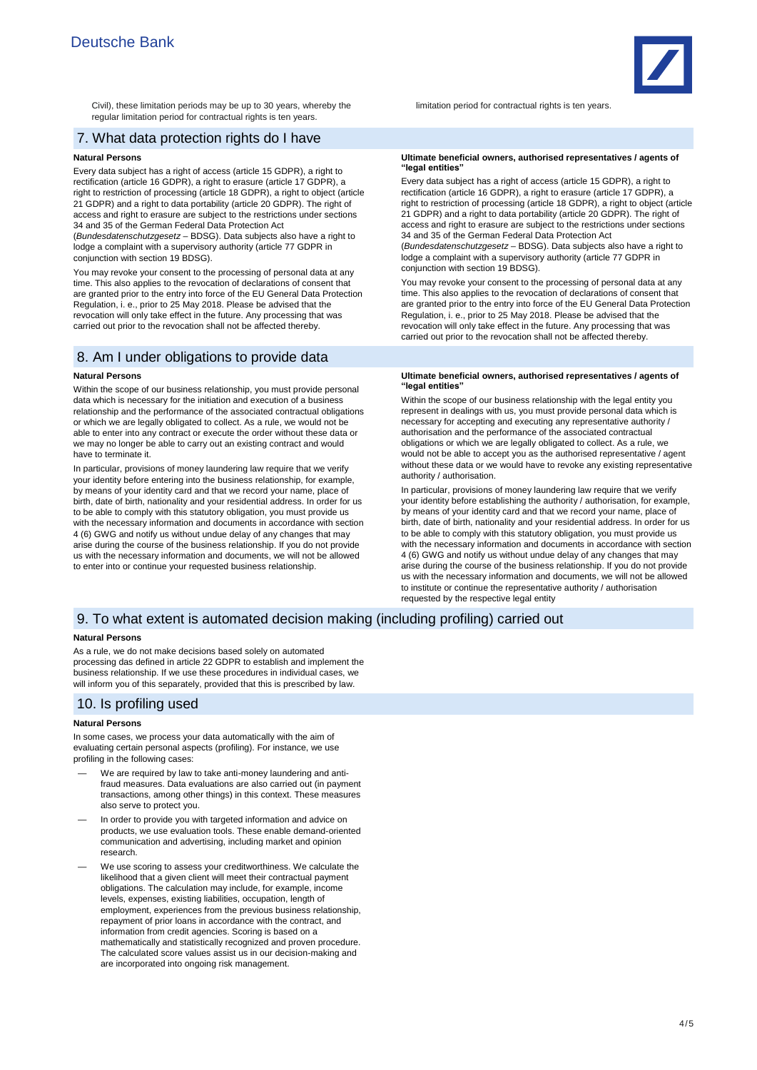Civil), these limitation periods may be up to 30 years, whereby the regular limitation period for contractual rights is ten years.

# 7. What data protection rights do I have

### **Natural Persons**

Every data subject has a right of access (article 15 GDPR), a right to rectification (article 16 GDPR), a right to erasure (article 17 GDPR), a right to restriction of processing (article 18 GDPR), a right to object (article 21 GDPR) and a right to data portability (article 20 GDPR). The right of access and right to erasure are subject to the restrictions under sections 34 and 35 of the German Federal Data Protection Act

(*Bundesdatenschutzgesetz* – BDSG). Data subjects also have a right to lodge a complaint with a supervisory authority (article 77 GDPR in conjunction with section 19 BDSG).

You may revoke your consent to the processing of personal data at any time. This also applies to the revocation of declarations of consent that are granted prior to the entry into force of the EU General Data Protection Regulation, i. e., prior to 25 May 2018. Please be advised that the revocation will only take effect in the future. Any processing that was carried out prior to the revocation shall not be affected thereby.

## 8. Am I under obligations to provide data

### **Natural Persons**

Within the scope of our business relationship, you must provide personal data which is necessary for the initiation and execution of a business relationship and the performance of the associated contractual obligations or which we are legally obligated to collect. As a rule, we would not be able to enter into any contract or execute the order without these data or we may no longer be able to carry out an existing contract and would have to terminate it.

In particular, provisions of money laundering law require that we verify your identity before entering into the business relationship, for example, by means of your identity card and that we record your name, place of birth, date of birth, nationality and your residential address. In order for us to be able to comply with this statutory obligation, you must provide us with the necessary information and documents in accordance with section 4 (6) GWG and notify us without undue delay of any changes that may arise during the course of the business relationship. If you do not provide us with the necessary information and documents, we will not be allowed to enter into or continue your requested business relationship.

#### limitation period for contractual rights is ten years.

### **Ultimate beneficial owners, authorised representatives / agents of "legal entities"**

Every data subject has a right of access (article 15 GDPR), a right to rectification (article 16 GDPR), a right to erasure (article 17 GDPR), a right to restriction of processing (article 18 GDPR), a right to object (article 21 GDPR) and a right to data portability (article 20 GDPR). The right of access and right to erasure are subject to the restrictions under sections 34 and 35 of the German Federal Data Protection Act

(*Bundesdatenschutzgesetz* – BDSG). Data subjects also have a right to lodge a complaint with a supervisory authority (article 77 GDPR in conjunction with section 19 BDSG).

You may revoke your consent to the processing of personal data at any time. This also applies to the revocation of declarations of consent that are granted prior to the entry into force of the EU General Data Protection Regulation, i. e., prior to 25 May 2018. Please be advised that the revocation will only take effect in the future. Any processing that was carried out prior to the revocation shall not be affected thereby.

#### **Ultimate beneficial owners, authorised representatives / agents of "legal entities"**

Within the scope of our business relationship with the legal entity you represent in dealings with us, you must provide personal data which is necessary for accepting and executing any representative authority / authorisation and the performance of the associated contractual obligations or which we are legally obligated to collect. As a rule, we would not be able to accept you as the authorised representative / agent without these data or we would have to revoke any existing representative authority / authorisation.

In particular, provisions of money laundering law require that we verify your identity before establishing the authority / authorisation, for example, by means of your identity card and that we record your name, place of birth, date of birth, nationality and your residential address. In order for us to be able to comply with this statutory obligation, you must provide us with the necessary information and documents in accordance with section 4 (6) GWG and notify us without undue delay of any changes that may arise during the course of the business relationship. If you do not provide us with the necessary information and documents, we will not be allowed to institute or continue the representative authority / authorisation requested by the respective legal entity

## 9. To what extent is automated decision making (including profiling) carried out

### **Natural Persons**

As a rule, we do not make decisions based solely on automated processing das defined in article 22 GDPR to establish and implement the business relationship. If we use these procedures in individual cases, we will inform you of this separately, provided that this is prescribed by law.

# 10. Is profiling used

### **Natural Persons**

In some cases, we process your data automatically with the aim of evaluating certain personal aspects (profiling). For instance, we use profiling in the following cases:

- We are required by law to take anti-money laundering and antifraud measures. Data evaluations are also carried out (in payment transactions, among other things) in this context. These measures also serve to protect you.
- In order to provide you with targeted information and advice on products, we use evaluation tools. These enable demand-oriented communication and advertising, including market and opinion research.
- We use scoring to assess your creditworthiness. We calculate the likelihood that a given client will meet their contractual payment obligations. The calculation may include, for example, income levels, expenses, existing liabilities, occupation, length of employment, experiences from the previous business relationship, repayment of prior loans in accordance with the contract, and information from credit agencies. Scoring is based on a mathematically and statistically recognized and proven procedure. The calculated score values assist us in our decision-making and are incorporated into ongoing risk management.